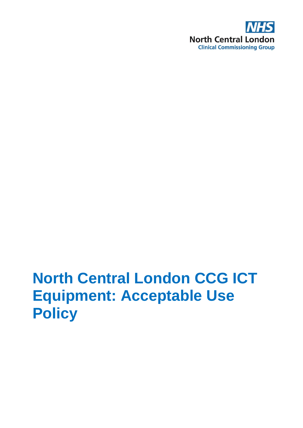

# **North Central London CCG ICT Equipment: Acceptable Use Policy**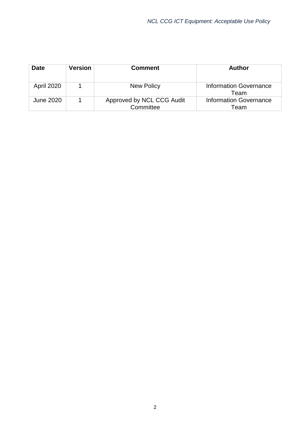| <b>Date</b>       | <b>Version</b> | <b>Comment</b>                         | <b>Author</b>                         |
|-------------------|----------------|----------------------------------------|---------------------------------------|
| <b>April 2020</b> |                | New Policy                             | Information Governance<br>Team        |
| June 2020         |                | Approved by NCL CCG Audit<br>Committee | <b>Information Governance</b><br>Team |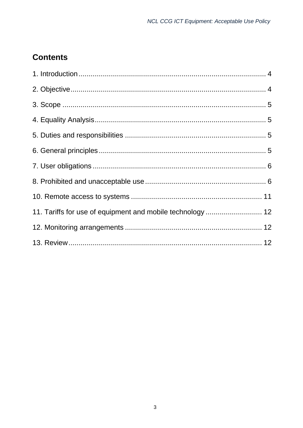### **Contents**

| 11. Tariffs for use of equipment and mobile technology  12 |  |
|------------------------------------------------------------|--|
|                                                            |  |
|                                                            |  |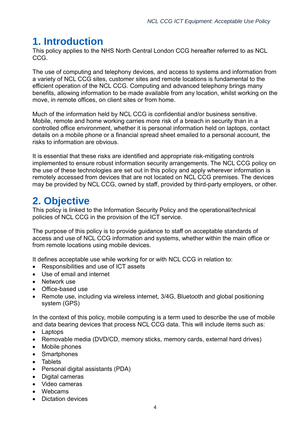# <span id="page-3-0"></span>**1. Introduction**

This policy applies to the NHS North Central London CCG hereafter referred to as NCL CCG.

The use of computing and telephony devices, and access to systems and information from a variety of NCL CCG sites, customer sites and remote locations is fundamental to the efficient operation of the NCL CCG. Computing and advanced telephony brings many benefits, allowing information to be made available from any location, whilst working on the move, in remote offices, on client sites or from home.

Much of the information held by NCL CCG is confidential and/or business sensitive. Mobile, remote and home working carries more risk of a breach in security than in a controlled office environment, whether it is personal information held on laptops, contact details on a mobile phone or a financial spread sheet emailed to a personal account, the risks to information are obvious.

It is essential that these risks are identified and appropriate risk-mitigating controls implemented to ensure robust information security arrangements. The NCL CCG policy on the use of these technologies are set out in this policy and apply wherever information is remotely accessed from devices that are not located on NCL CCG premises. The devices may be provided by NCL CCG, owned by staff, provided by third-party employers, or other.

# <span id="page-3-1"></span>**2. Objective**

This policy is linked to the Information Security Policy and the operational/technical policies of NCL CCG in the provision of the ICT service.

The purpose of this policy is to provide guidance to staff on acceptable standards of access and use of NCL CCG information and systems, whether within the main office or from remote locations using mobile devices.

It defines acceptable use while working for or with NCL CCG in relation to:

- Responsibilities and use of ICT assets
- Use of email and internet
- Network use
- Office-based use
- Remote use, including via wireless internet, 3/4G, Bluetooth and global positioning system (GPS)

In the context of this policy, mobile computing is a term used to describe the use of mobile and data bearing devices that process NCL CCG data. This will include items such as:

- Laptops
- Removable media (DVD/CD, memory sticks, memory cards, external hard drives)
- Mobile phones
- Smartphones
- Tablets
- Personal digital assistants (PDA)
- Digital cameras
- Video cameras
- Webcams
- Dictation devices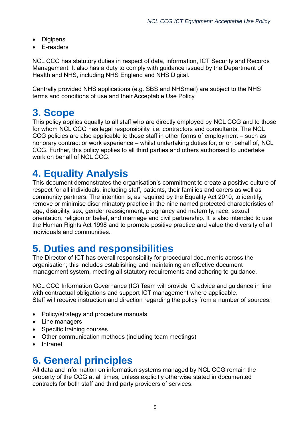- Digipens
- E-readers

NCL CCG has statutory duties in respect of data, information, ICT Security and Records Management. It also has a duty to comply with guidance issued by the Department of Health and NHS, including NHS England and NHS Digital.

Centrally provided NHS applications (e.g. SBS and NHSmail) are subject to the NHS terms and conditions of use and their Acceptable Use Policy.

### <span id="page-4-0"></span>**3. Scope**

This policy applies equally to all staff who are directly employed by NCL CCG and to those for whom NCL CCG has legal responsibility, i.e. contractors and consultants. The NCL CCG policies are also applicable to those staff in other forms of employment – such as honorary contract or work experience – whilst undertaking duties for, or on behalf of, NCL CCG. Further, this policy applies to all third parties and others authorised to undertake work on behalf of NCL CCG.

# <span id="page-4-1"></span>**4. Equality Analysis**

This document demonstrates the organisation's commitment to create a positive culture of respect for all individuals, including staff, patients, their families and carers as well as community partners. The intention is, as required by the Equality Act 2010, to identify, remove or minimise discriminatory practice in the nine named protected characteristics of age, disability, sex, gender reassignment, pregnancy and maternity, race, sexual orientation, religion or belief, and marriage and civil partnership. It is also intended to use the Human Rights Act 1998 and to promote positive practice and value the diversity of all individuals and communities.

# <span id="page-4-2"></span>**5. Duties and responsibilities**

The Director of ICT has overall responsibility for procedural documents across the organisation; this includes establishing and maintaining an effective document management system, meeting all statutory requirements and adhering to guidance.

NCL CCG Information Governance (IG) Team will provide IG advice and guidance in line with contractual obligations and support ICT management where applicable. Staff will receive instruction and direction regarding the policy from a number of sources:

- Policy/strategy and procedure manuals
- Line managers
- Specific training courses
- Other communication methods (including team meetings)
- Intranet

# <span id="page-4-3"></span>**6. General principles**

All data and information on information systems managed by NCL CCG remain the property of the CCG at all times, unless explicitly otherwise stated in documented contracts for both staff and third party providers of services.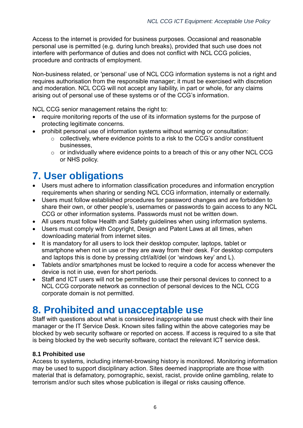Access to the internet is provided for business purposes. Occasional and reasonable personal use is permitted (e.g. during lunch breaks), provided that such use does not interfere with performance of duties and does not conflict with NCL CCG policies, procedure and contracts of employment.

Non-business related, or 'personal' use of NCL CCG information systems is not a right and requires authorisation from the responsible manager; it must be exercised with discretion and moderation. NCL CCG will not accept any liability, in part or whole, for any claims arising out of personal use of these systems or of the CCG's information.

NCL CCG senior management retains the right to:

- require monitoring reports of the use of its information systems for the purpose of protecting legitimate concerns.
- prohibit personal use of information systems without warning or consultation:
	- o collectively, where evidence points to a risk to the CCG's and/or constituent businesses,
	- $\circ$  or individually where evidence points to a breach of this or any other NCL CCG or NHS policy.

# <span id="page-5-0"></span>**7. User obligations**

- Users must adhere to information classification procedures and information encryption requirements when sharing or sending NCL CCG information, internally or externally.
- Users must follow established procedures for password changes and are forbidden to share their own, or other people's, usernames or passwords to gain access to any NCL CCG or other information systems. Passwords must not be written down.
- All users must follow Health and Safety guidelines when using information systems.
- Users must comply with Copyright, Design and Patent Laws at all times, when downloading material from internet sites.
- It is mandatory for all users to lock their desktop computer, laptops, tablet or smartphone when not in use or they are away from their desk. For desktop computers and laptops this is done by pressing ctrl/alt/del (or 'windows key' and L).
- Tablets and/or smartphones must be locked to require a code for access whenever the device is not in use, even for short periods.
- Staff and ICT users will not be permitted to use their personal devices to connect to a NCL CCG corporate network as connection of personal devices to the NCL CCG corporate domain is not permitted.

# <span id="page-5-1"></span>**8. Prohibited and unacceptable use**

Staff with questions about what is considered inappropriate use must check with their line manager or the IT Service Desk. Known sites falling within the above categories may be blocked by web security software or reported on access. If access is required to a site that is being blocked by the web security software, contact the relevant ICT service desk.

#### **8.1 Prohibited use**

Access to systems, including internet-browsing history is monitored. Monitoring information may be used to support disciplinary action. Sites deemed inappropriate are those with material that is defamatory, pornographic, sexist, racist, provide online gambling, relate to terrorism and/or such sites whose publication is illegal or risks causing offence.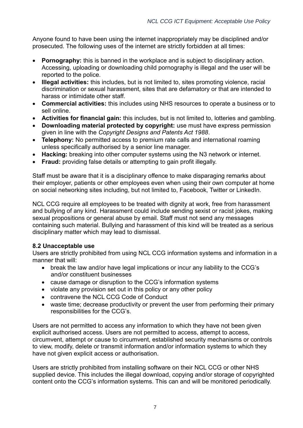Anyone found to have been using the internet inappropriately may be disciplined and/or prosecuted. The following uses of the internet are strictly forbidden at all times:

- **Pornography:** this is banned in the workplace and is subject to disciplinary action. Accessing, uploading or downloading child pornography is illegal and the user will be reported to the police.
- **Illegal activities:** this includes, but is not limited to, sites promoting violence, racial discrimination or sexual harassment, sites that are defamatory or that are intended to harass or intimidate other staff.
- **Commercial activities:** this includes using NHS resources to operate a business or to sell online.
- **Activities for financial gain:** this includes, but is not limited to, lotteries and gambling.
- **Downloading material protected by copyright:** use must have express permission given in line with the *Copyright Designs and Patents Act 1988*.
- **Telephony:** No permitted access to premium rate calls and international roaming unless specifically authorised by a senior line manager.
- **Hacking:** breaking into other computer systems using the N3 network or internet.
- **Fraud:** providing false details or attempting to gain profit illegally.

Staff must be aware that it is a disciplinary offence to make disparaging remarks about their employer, patients or other employees even when using their own computer at home on social networking sites including, but not limited to, Facebook, Twitter or LinkedIn.

NCL CCG require all employees to be treated with dignity at work, free from harassment and bullying of any kind. Harassment could include sending sexist or racist jokes, making sexual propositions or general abuse by email. Staff must not send any messages containing such material. Bullying and harassment of this kind will be treated as a serious disciplinary matter which may lead to dismissal.

#### **8.2 Unacceptable use**

Users are strictly prohibited from using NCL CCG information systems and information in a manner that will:

- break the law and/or have legal implications or incur any liability to the CCG's and/or constituent businesses
- cause damage or disruption to the CCG's information systems
- violate any provision set out in this policy or any other policy
- contravene the NCL CCG Code of Conduct
- waste time; decrease productivity or prevent the user from performing their primary responsibilities for the CCG's.

Users are not permitted to access any information to which they have not been given explicit authorised access. Users are not permitted to access, attempt to access, circumvent, attempt or cause to circumvent, established security mechanisms or controls to view, modify, delete or transmit information and/or information systems to which they have not given explicit access or authorisation.

Users are strictly prohibited from installing software on their NCL CCG or other NHS supplied device. This includes the illegal download, copying and/or storage of copyrighted content onto the CCG's information systems. This can and will be monitored periodically.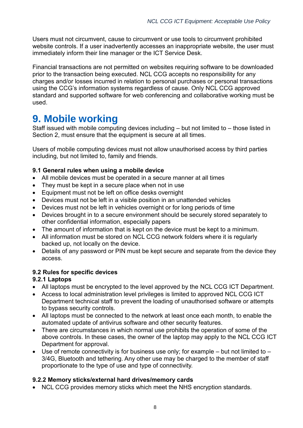Users must not circumvent, cause to circumvent or use tools to circumvent prohibited website controls. If a user inadvertently accesses an inappropriate website, the user must immediately inform their line manager or the ICT Service Desk.

Financial transactions are not permitted on websites requiring software to be downloaded prior to the transaction being executed. NCL CCG accepts no responsibility for any charges and/or losses incurred in relation to personal purchases or personal transactions using the CCG's information systems regardless of cause. Only NCL CCG approved standard and supported software for web conferencing and collaborative working must be used.

## **9. Mobile working**

Staff issued with mobile computing devices including – but not limited to – those listed in Section 2, must ensure that the equipment is secure at all times.

Users of mobile computing devices must not allow unauthorised access by third parties including, but not limited to, family and friends.

#### **9.1 General rules when using a mobile device**

- All mobile devices must be operated in a secure manner at all times
- They must be kept in a secure place when not in use
- Equipment must not be left on office desks overnight
- Devices must not be left in a visible position in an unattended vehicles
- Devices must not be left in vehicles overnight or for long periods of time
- Devices brought in to a secure environment should be securely stored separately to other confidential information, especially papers
- The amount of information that is kept on the device must be kept to a minimum.
- All information must be stored on NCL CCG network folders where it is regularly backed up, not locally on the device.
- Details of any password or PIN must be kept secure and separate from the device they access.

#### **9.2 Rules for specific devices**

#### **9.2.1 Laptops**

- All laptops must be encrypted to the level approved by the NCL CCG ICT Department.
- Access to local administration level privileges is limited to approved NCL CCG ICT Department technical staff to prevent the loading of unauthorised software or attempts to bypass security controls.
- All laptops must be connected to the network at least once each month, to enable the automated update of antivirus software and other security features.
- There are circumstances in which normal use prohibits the operation of some of the above controls. In these cases, the owner of the laptop may apply to the NCL CCG ICT Department for approval.
- $\bullet$  Use of remote connectivity is for business use only; for example but not limited to 3/4G, Bluetooth and tethering. Any other use may be charged to the member of staff proportionate to the type of use and type of connectivity.

#### **9.2.2 Memory sticks/external hard drives/memory cards**

• NCL CCG provides memory sticks which meet the NHS encryption standards.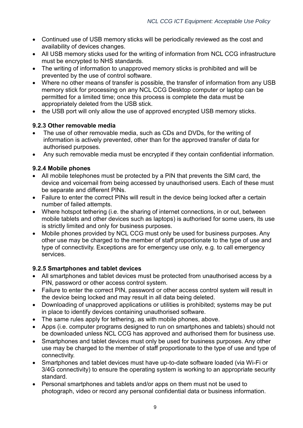- Continued use of USB memory sticks will be periodically reviewed as the cost and availability of devices changes.
- All USB memory sticks used for the writing of information from NCL CCG infrastructure must be encrypted to NHS standards.
- The writing of information to unapproved memory sticks is prohibited and will be prevented by the use of control software.
- Where no other means of transfer is possible, the transfer of information from any USB memory stick for processing on any NCL CCG Desktop computer or laptop can be permitted for a limited time; once this process is complete the data must be appropriately deleted from the USB stick.
- the USB port will only allow the use of approved encrypted USB memory sticks.

#### **9.2.3 Other removable media**

- The use of other removable media, such as CDs and DVDs, for the writing of information is actively prevented, other than for the approved transfer of data for authorised purposes.
- Any such removable media must be encrypted if they contain confidential information.

#### **9.2.4 Mobile phones**

- All mobile telephones must be protected by a PIN that prevents the SIM card, the device and voicemail from being accessed by unauthorised users. Each of these must be separate and different PINs.
- Failure to enter the correct PINs will result in the device being locked after a certain number of failed attempts.
- Where hotspot tethering (i.e. the sharing of internet connections, in or out, between mobile tablets and other devices such as laptops) is authorised for some users, its use is strictly limited and only for business purposes.
- Mobile phones provided by NCL CCG must only be used for business purposes. Any other use may be charged to the member of staff proportionate to the type of use and type of connectivity. Exceptions are for emergency use only, e.g. to call emergency services.

#### **9.2.5 Smartphones and tablet devices**

- All smartphones and tablet devices must be protected from unauthorised access by a PIN, password or other access control system.
- Failure to enter the correct PIN, password or other access control system will result in the device being locked and may result in all data being deleted.
- Downloading of unapproved applications or utilities is prohibited; systems may be put in place to identify devices containing unauthorised software.
- The same rules apply for tethering, as with mobile phones, above.
- Apps (i.e. computer programs designed to run on smartphones and tablets) should not be downloaded unless NCL CCG has approved and authorised them for business use.
- Smartphones and tablet devices must only be used for business purposes. Any other use may be charged to the member of staff proportionate to the type of use and type of connectivity.
- Smartphones and tablet devices must have up-to-date software loaded (via Wi-Fi or 3/4G connectivity) to ensure the operating system is working to an appropriate security standard.
- Personal smartphones and tablets and/or apps on them must not be used to photograph, video or record any personal confidential data or business information.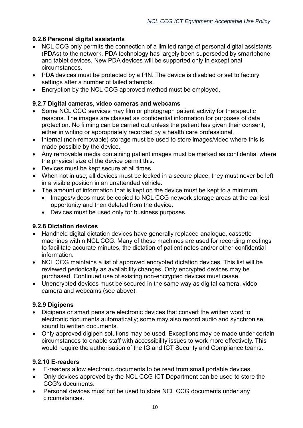#### **9.2.6 Personal digital assistants**

- NCL CCG only permits the connection of a limited range of personal digital assistants (PDAs) to the network. PDA technology has largely been superseded by smartphone and tablet devices. New PDA devices will be supported only in exceptional circumstances.
- PDA devices must be protected by a PIN. The device is disabled or set to factory settings after a number of failed attempts.
- Encryption by the NCL CCG approved method must be employed.

#### **9.2.7 Digital cameras, video cameras and webcams**

- Some NCL CCG services may film or photograph patient activity for therapeutic reasons. The images are classed as confidential information for purposes of data protection. No filming can be carried out unless the patient has given their consent, either in writing or appropriately recorded by a health care professional.
- Internal (non-removable) storage must be used to store images/video where this is made possible by the device.
- Any removable media containing patient images must be marked as confidential where the physical size of the device permit this.
- Devices must be kept secure at all times.
- When not in use, all devices must be locked in a secure place; they must never be left in a visible position in an unattended vehicle.
- The amount of information that is kept on the device must be kept to a minimum.
	- Images/videos must be copied to NCL CCG network storage areas at the earliest opportunity and then deleted from the device.
	- Devices must be used only for business purposes.

#### **9.2.8 Dictation devices**

- Handheld digital dictation devices have generally replaced analogue, cassette machines within NCL CCG. Many of these machines are used for recording meetings to facilitate accurate minutes, the dictation of patient notes and/or other confidential information.
- NCL CCG maintains a list of approved encrypted dictation devices. This list will be reviewed periodically as availability changes. Only encrypted devices may be purchased. Continued use of existing non-encrypted devices must cease.
- Unencrypted devices must be secured in the same way as digital camera, video camera and webcams (see above).

#### **9.2.9 Digipens**

- Digipens or smart pens are electronic devices that convert the written word to electronic documents automatically; some may also record audio and synchronise sound to written documents.
- Only approved digipen solutions may be used. Exceptions may be made under certain circumstances to enable staff with accessibility issues to work more effectively. This would require the authorisation of the IG and ICT Security and Compliance teams.

#### **9.2.10 E-readers**

- E-readers allow electronic documents to be read from small portable devices.
- Only devices approved by the NCL CCG ICT Department can be used to store the CCG's documents.
- Personal devices must not be used to store NCL CCG documents under any circumstances.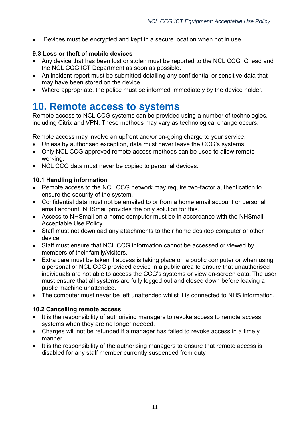Devices must be encrypted and kept in a secure location when not in use.

#### **9.3 Loss or theft of mobile devices**

- Any device that has been lost or stolen must be reported to the NCL CCG IG lead and the NCL CCG ICT Department as soon as possible.
- An incident report must be submitted detailing any confidential or sensitive data that may have been stored on the device.
- Where appropriate, the police must be informed immediately by the device holder.

### <span id="page-10-0"></span>**10. Remote access to systems**

Remote access to NCL CCG systems can be provided using a number of technologies, including Citrix and VPN. These methods may vary as technological change occurs.

Remote access may involve an upfront and/or on-going charge to your service.

- Unless by authorised exception, data must never leave the CCG's systems.
- Only NCL CCG approved remote access methods can be used to allow remote working.
- NCL CCG data must never be copied to personal devices.

#### **10.1 Handling information**

- Remote access to the NCL CCG network may require two-factor authentication to ensure the security of the system.
- Confidential data must not be emailed to or from a home email account or personal email account. NHSmail provides the only solution for this.
- Access to NHSmail on a home computer must be in accordance with the NHSmail Acceptable Use Policy.
- Staff must not download any attachments to their home desktop computer or other device.
- Staff must ensure that NCL CCG information cannot be accessed or viewed by members of their family/visitors.
- Extra care must be taken if access is taking place on a public computer or when using a personal or NCL CCG provided device in a public area to ensure that unauthorised individuals are not able to access the CCG's systems or view on-screen data. The user must ensure that all systems are fully logged out and closed down before leaving a public machine unattended.
- The computer must never be left unattended whilst it is connected to NHS information.

#### **10.2 Cancelling remote access**

- It is the responsibility of authorising managers to revoke access to remote access systems when they are no longer needed.
- Charges will not be refunded if a manager has failed to revoke access in a timely manner.
- It is the responsibility of the authorising managers to ensure that remote access is disabled for any staff member currently suspended from duty